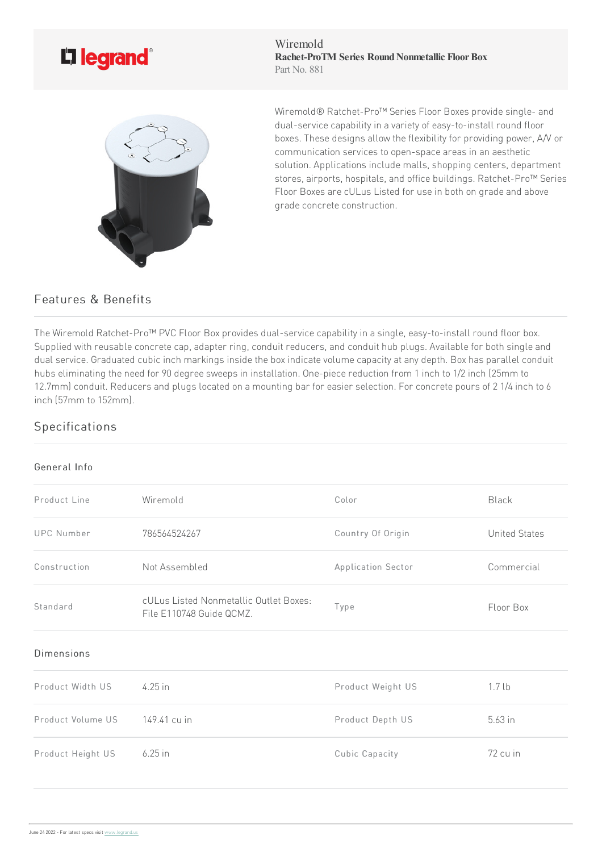

Wiremold **Rachet-ProTM Series Round Nonmetallic Floor Box** Part No. 881



Wiremold® Ratchet-Pro<sup>™</sup> Series Floor Boxes provide single- and dual-service capability in a variety of easy-to-install round floor boxes. These designs allow the flexibility for providing power, A/V or communication services to open-space areas in an aesthetic solution. Applications include malls, shopping centers, department stores, airports, hospitals, and office buildings. Ratchet-Pro™ Series Floor Boxes are cULus Listed for use in both on grade and above grade concrete construction.

## Features & Benefits

The Wiremold Ratchet-Pro™ PVC Floor Box provides dual-service capability in a single, easy-to-install round floor box. Supplied with reusable concrete cap, adapter ring, conduit reducers, and conduit hub plugs. Available for both single and dual service. Graduated cubic inch markings inside the box indicate volume capacity at any depth. Box has parallel conduit hubs eliminating the need for 90 degree sweeps in installation. One-piece reduction from 1 inch to 1/2 inch (25mm to 12.7mm) conduit. Reducers and plugs located on a mounting bar for easier selection. For concrete pours of 21/4 inch to 6 inch (57mm to 152mm).

## Specifications

## General Info

| Product Line      | Wiremold                                                           | Color              | Black                |
|-------------------|--------------------------------------------------------------------|--------------------|----------------------|
| <b>UPC Number</b> | 786564524267                                                       | Country Of Origin  | <b>United States</b> |
| Construction      | Not Assembled                                                      | Application Sector | Commercial           |
| Standard          | cULus Listed Nonmetallic Outlet Boxes:<br>File E110748 Guide QCMZ. | Type               | Floor Box            |
| Dimensions        |                                                                    |                    |                      |
| Product Width US  | 4.25 in                                                            | Product Weight US  | 1.7 <sub>lb</sub>    |
| Product Volume US | 149.41 cu in                                                       | Product Depth US   | $5.63$ in            |
| Product Height US | $6.25$ in                                                          | Cubic Capacity     | 72 cu in             |